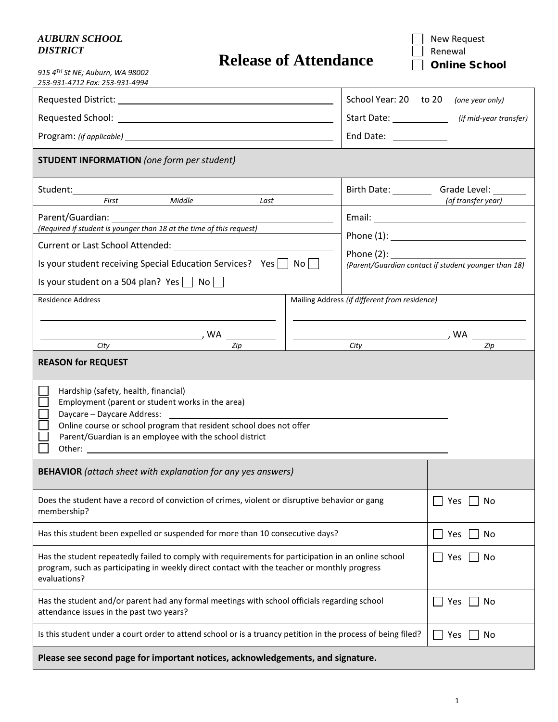## *AUBURN SCHOOL DISTRICT*

|  | <b>Release of Attendance</b> |
|--|------------------------------|
|--|------------------------------|

New Request Renewal □ Online School

| 915 4TH St NE; Auburn, WA 98002<br>253-931-4712 Fax: 253-931-4994                                                                                                                                                                                       |                                               |                                                      |  |
|---------------------------------------------------------------------------------------------------------------------------------------------------------------------------------------------------------------------------------------------------------|-----------------------------------------------|------------------------------------------------------|--|
|                                                                                                                                                                                                                                                         | School Year: 20 to 20 (one year only)         |                                                      |  |
|                                                                                                                                                                                                                                                         |                                               | Start Date: ________________ (if mid-year transfer)  |  |
|                                                                                                                                                                                                                                                         | End Date: <u>__________</u>                   |                                                      |  |
| <b>STUDENT INFORMATION</b> (one form per student)                                                                                                                                                                                                       |                                               |                                                      |  |
|                                                                                                                                                                                                                                                         |                                               | Birth Date: Grade Level: 1996.                       |  |
| Middle<br>First<br>Last                                                                                                                                                                                                                                 |                                               | (of transfer year)                                   |  |
| Parent/Guardian: 1997                                                                                                                                                                                                                                   |                                               |                                                      |  |
| (Required if student is younger than 18 at the time of this request)                                                                                                                                                                                    |                                               |                                                      |  |
| Current or Last School Attended: University of the Current or Last School Attended:                                                                                                                                                                     |                                               |                                                      |  |
| Is your student receiving Special Education Services? Yes $\vert$ No $\vert$                                                                                                                                                                            |                                               | (Parent/Guardian contact if student younger than 18) |  |
| Is your student on a 504 plan? Yes $\Box$ No $\Box$                                                                                                                                                                                                     |                                               |                                                      |  |
| <b>Residence Address</b>                                                                                                                                                                                                                                | Mailing Address (if different from residence) |                                                      |  |
|                                                                                                                                                                                                                                                         |                                               |                                                      |  |
| Zip<br>City                                                                                                                                                                                                                                             | City                                          | Zip                                                  |  |
| <b>REASON for REQUEST</b><br>Hardship (safety, health, financial)<br>Employment (parent or student works in the area)<br>Online course or school program that resident school does not offer<br>Parent/Guardian is an employee with the school district |                                               |                                                      |  |
| <b>BEHAVIOR</b> (attach sheet with explanation for any yes answers)                                                                                                                                                                                     |                                               |                                                      |  |
| Does the student have a record of conviction of crimes, violent or disruptive behavior or gang<br>membership?                                                                                                                                           | No<br>Yes                                     |                                                      |  |
| Has this student been expelled or suspended for more than 10 consecutive days?                                                                                                                                                                          | Yes<br>No                                     |                                                      |  |
| Has the student repeatedly failed to comply with requirements for participation in an online school<br>program, such as participating in weekly direct contact with the teacher or monthly progress<br>evaluations?                                     | No<br>Yes                                     |                                                      |  |
| Has the student and/or parent had any formal meetings with school officials regarding school<br>attendance issues in the past two years?                                                                                                                | No<br>Yes                                     |                                                      |  |
| Is this student under a court order to attend school or is a truancy petition in the process of being filed?                                                                                                                                            | No<br>Yes                                     |                                                      |  |
| Please see second page for important notices, acknowledgements, and signature.                                                                                                                                                                          |                                               |                                                      |  |